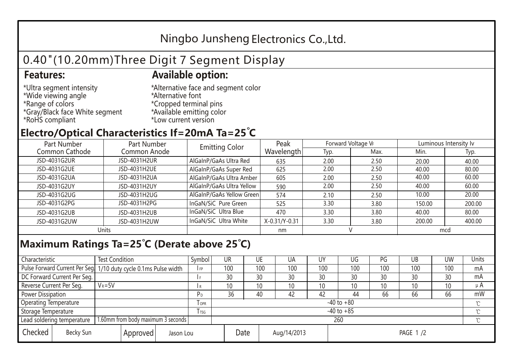## Ningbo Junsheng Electronics Co.,Ltd.

# 0.40"(10.20mm)Three Digit 7 Segment Display

#### **Features: Available option:**

- \*Ultra segment intensity \*Wide viewing angle \*Range of colors \*Gray/Black face White segment \*RoHS compliant
- \*Alternative face and segment color \*Alternative font \*Cropped terminal pins \*Available emitting color \*Low current version

### **Electro/Optical Characteristics If=20mA Ta=25 C**

| Part Number    | Part Number  |                           | Peak          | Forward Voltage VF |      | Luminous Intensity lv |        |  |
|----------------|--------------|---------------------------|---------------|--------------------|------|-----------------------|--------|--|
| Common Cathode | Common Anode | <b>Emitting Color</b>     | Wavelength    | Typ.               | Max. | Min.                  | Typ.   |  |
| JSD-4031G2UR   | JSD-4031H2UR | AlGaInP/GaAs Ultra Red    | 635           | 2.00               | 2.50 | 20.00                 | 40.00  |  |
| JSD-4031G2UE   | JSD-4031H2UE | AlGaInP/GaAs Super Red    | 625           | 2.00               | 2.50 | 40.00                 | 80.00  |  |
| JSD-4031G2UA   | JSD-4031H2UA | AlGaInP/GaAs Ultra Amber  | 605           | 2.00               | 2.50 | 40.00                 | 60.00  |  |
| JSD-4031G2UY   | JSD-4031H2UY | AlGaInP/GaAs Ultra Yellow | 590           | 2.00               | 2.50 | 40.00                 | 60.00  |  |
| JSD-4031G2UG   | JSD-4031H2UG | AlGaInP/GaAs Yellow Green | 574           | 2.10               | 2.50 | 10.00                 | 20.00  |  |
| JSD-4031G2PG   | JSD-4031H2PG | InGaN/SiC Pure Green      | 525           | 3.30               | 3.80 | 150.00                | 200.00 |  |
| JSD-4031G2UB   | JSD-4031H2UB | InGaN/SiC Ultra Blue      | 470           | 3.30               | 3.80 | 40.00                 | 80.00  |  |
| JSD-4031G2UW   | JSD-4031H2UW | InGaN/SiC Ultra White     | X-0.31/Y-0.31 | 3.30               | 3.80 | 200.00                | 400.00 |  |
| Units          |              |                           | nm            |                    |      | mcd                   |        |  |

#### **Maximum Ratings Ta=25°C (Derate above 25°C)**

| Characteristic                                |            | <b>Test Condition</b><br>Symbol                                  |                     |                | <b>UR</b>       |  | UE       | UA  | UY  | UG  | PG  | UB              | <b>UW</b> | <b>Units</b> |
|-----------------------------------------------|------------|------------------------------------------------------------------|---------------------|----------------|-----------------|--|----------|-----|-----|-----|-----|-----------------|-----------|--------------|
|                                               |            | Pulse Forward Current Per Seg. 1/10 duty cycle 0.1ms Pulse width |                     |                | 100             |  | 100      | 100 | 100 | 100 | 100 | 100             | 100       | mA           |
| DC Forward Current Per Seg.                   |            |                                                                  |                     |                | 30              |  | 30       | 30  | 30  | 30  | 30  | 30              | 30        | mA           |
| Reverse Current Per Seg.                      | $V_R = 5V$ |                                                                  |                     | R              | 10 <sup>°</sup> |  | 10       | 10  | 10  | 10  | 10  | 10 <sup>°</sup> | 10        | $\mu$ A      |
| <b>Power Dissipation</b>                      |            |                                                                  |                     |                | 36              |  | 40       | 42  | 42  | 44  | 66  | 66              | 66        | mW           |
| <b>Operating Temperature</b>                  |            |                                                                  | $I$ OPR             | $-40$ to $+80$ |                 |  |          |     |     |     |     |                 | $\sim$    |              |
| Storage Temperature                           |            | l tsg                                                            | $-40$ to $+85$      |                |                 |  |          |     |     |     |     | $\gamma$        |           |              |
| Lead soldering temperature                    |            | 1.60mm from body maximum 3 seconds                               |                     |                | 260<br>$\gamma$ |  |          |     |     |     |     |                 |           |              |
| Checked<br>Becky Sun<br>Approved<br>Jason Lou |            |                                                                  | Date<br>Aug/14/2013 |                |                 |  | PAGE 1/2 |     |     |     |     |                 |           |              |